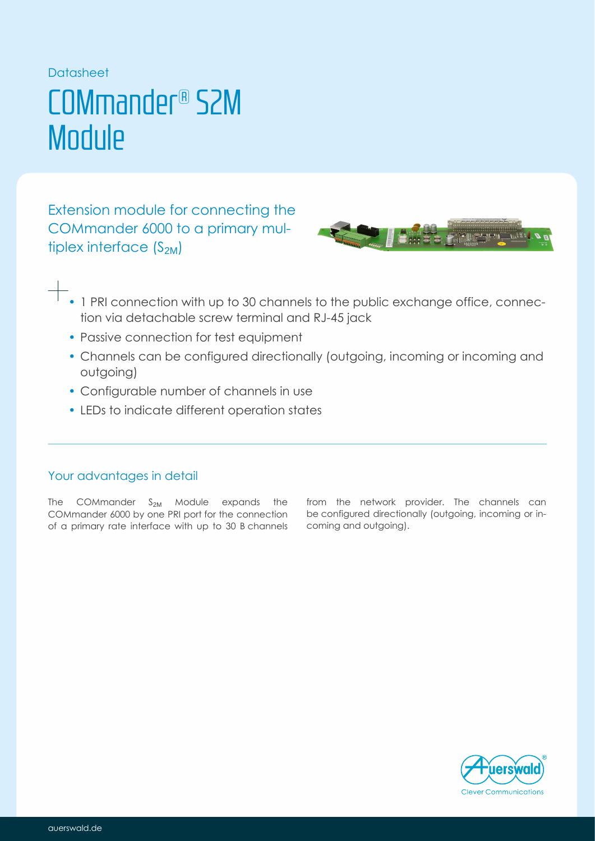Datasheet

# COMmander® S2M **Module**

Extension module for connecting the COMmander 6000 to a primary multiplex interface  $(S_{2M})$ 



- 1 PRI connection with up to 30 channels to the public exchange office, connection via detachable screw terminal and RJ-45 jack
- Passive connection for test equipment
- Channels can be configured directionally (outgoing, incoming or incoming and outgoing)
- Configurable number of channels in use
- LEDs to indicate different operation states

## Your advantages in detail

The COMmander  $S_{2M}$  Module expands the COMmander 6000 by one PRI port for the connection of a primary rate interface with up to 30 B channels from the network provider. The channels can be configured directionally (outgoing, incoming or incoming and outgoing).